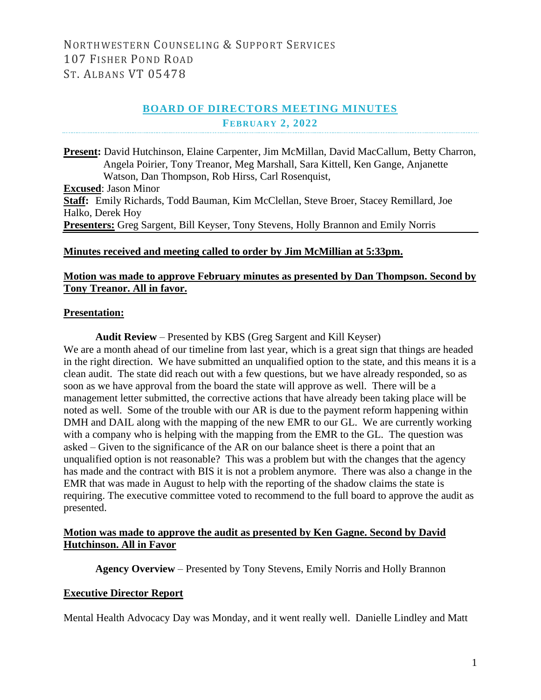# **BOARD OF DIRECTORS MEETING MINUTES FEBRUARY 2, 2022**

**Present:** David Hutchinson, Elaine Carpenter, Jim McMillan, David MacCallum, Betty Charron, Angela Poirier, Tony Treanor, Meg Marshall, Sara Kittell, Ken Gange, Anjanette Watson, Dan Thompson, Rob Hirss, Carl Rosenquist, **Excused**: Jason Minor **Staff:** Emily Richards, Todd Bauman, Kim McClellan, Steve Broer, Stacey Remillard, Joe Halko, Derek Hoy **Presenters:** Greg Sargent, Bill Keyser, Tony Stevens, Holly Brannon and Emily Norris

### **Minutes received and meeting called to order by Jim McMillian at 5:33pm.**

### **Motion was made to approve February minutes as presented by Dan Thompson. Second by Tony Treanor. All in favor.**

#### **Presentation:**

**Audit Review** – Presented by KBS (Greg Sargent and Kill Keyser) We are a month ahead of our timeline from last year, which is a great sign that things are headed in the right direction. We have submitted an unqualified option to the state, and this means it is a clean audit. The state did reach out with a few questions, but we have already responded, so as soon as we have approval from the board the state will approve as well. There will be a management letter submitted, the corrective actions that have already been taking place will be noted as well. Some of the trouble with our AR is due to the payment reform happening within DMH and DAIL along with the mapping of the new EMR to our GL. We are currently working with a company who is helping with the mapping from the EMR to the GL. The question was asked – Given to the significance of the AR on our balance sheet is there a point that an unqualified option is not reasonable? This was a problem but with the changes that the agency has made and the contract with BIS it is not a problem anymore. There was also a change in the EMR that was made in August to help with the reporting of the shadow claims the state is requiring. The executive committee voted to recommend to the full board to approve the audit as presented.

### **Motion was made to approve the audit as presented by Ken Gagne. Second by David Hutchinson. All in Favor**

**Agency Overview** – Presented by Tony Stevens, Emily Norris and Holly Brannon

## **Executive Director Report**

Mental Health Advocacy Day was Monday, and it went really well. Danielle Lindley and Matt